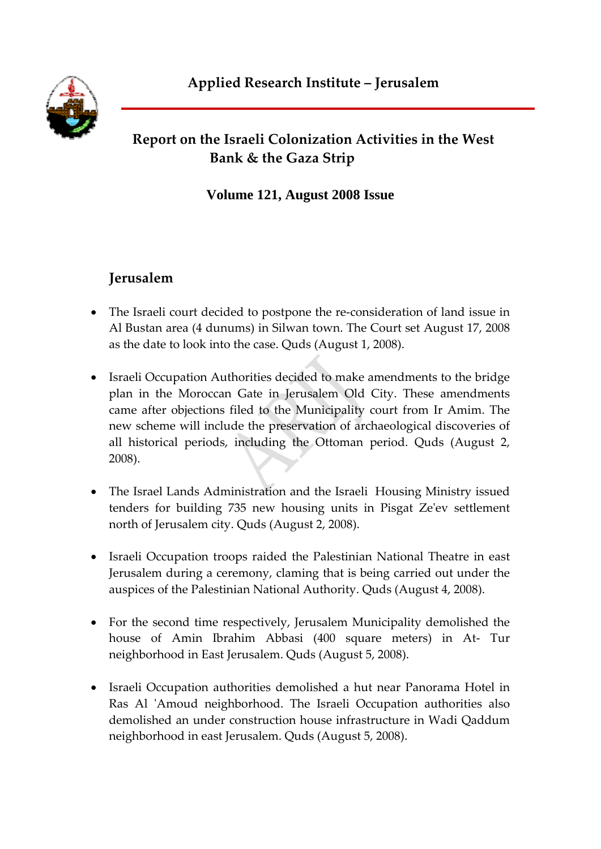# **Report on the Israeli Colonization Activities in the West Bank & the Gaza Strip**

**Volume 121, August 2008 Issue** 

# **Jerusalem**

- The Israeli court decided to postpone the re-consideration of land issue in Al Bustan area (4 dunums) in Silwan town. The Court set August 17, 2008 as the date to look into the case. Quds (August 1, 2008).
- Israeli Occupation Authorities decided to make amendments to the bridge plan in the Moroccan Gate in Jerusalem Old City. These amendments came after objections filed to the Municipality court from Ir Amim. The new scheme will include the preservation of archaeological discoveries of all historical periods, including the Ottoman period. Quds (August 2, 2008).
- The Israel Lands Administration and the Israeli Housing Ministry issued tenders for building 735 new housing units in Pisgat Zeʹev settlement north of Jerusalem city. Quds (August 2, 2008).
- Israeli Occupation troops raided the Palestinian National Theatre in east Jerusalem during a ceremony, claming that is being carried out under the auspices of the Palestinian National Authority. Quds (August 4, 2008).
- For the second time respectively, Jerusalem Municipality demolished the house of Amin Ibrahim Abbasi (400 square meters) in At‐ Tur neighborhood in East Jerusalem. Quds (August 5, 2008).
- Israeli Occupation authorities demolished a hut near Panorama Hotel in Ras Al 'Amoud neighborhood. The Israeli Occupation authorities also demolished an under construction house infrastructure in Wadi Qaddum neighborhood in east Jerusalem. Quds (August 5, 2008).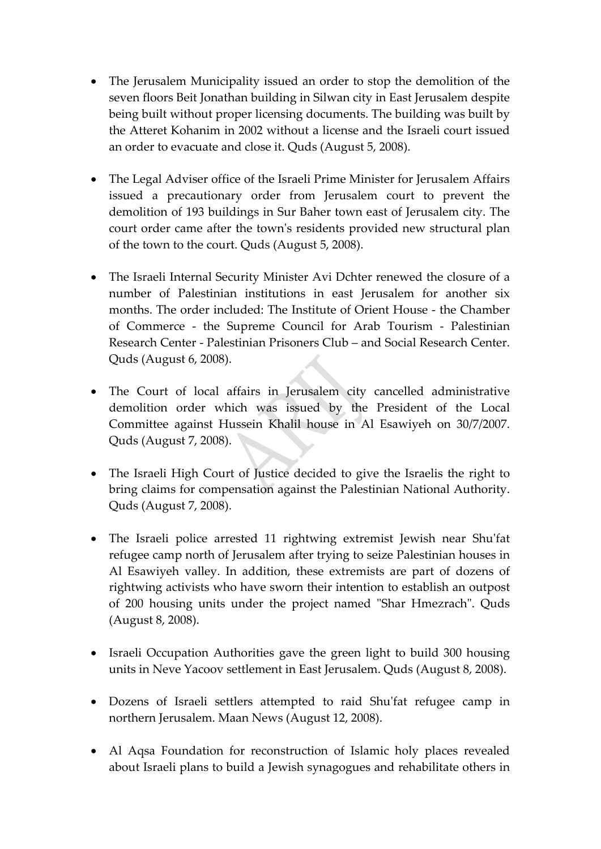- The Jerusalem Municipality issued an order to stop the demolition of the seven floors Beit Jonathan building in Silwan city in East Jerusalem despite being built without proper licensing documents. The building was built by the Atteret Kohanim in 2002 without a license and the Israeli court issued an order to evacuate and close it. Quds (August 5, 2008).
- The Legal Adviser office of the Israeli Prime Minister for Jerusalem Affairs issued a precautionary order from Jerusalem court to prevent the demolition of 193 buildings in Sur Baher town east of Jerusalem city. The court order came after the town's residents provided new structural plan of the town to the court. Quds (August 5, 2008).
- The Israeli Internal Security Minister Avi Dchter renewed the closure of a number of Palestinian institutions in east Jerusalem for another six months. The order included: The Institute of Orient House ‐ the Chamber of Commerce ‐ the Supreme Council for Arab Tourism ‐ Palestinian Research Center ‐ Palestinian Prisoners Club – and Social Research Center. Quds (August 6, 2008).
- The Court of local affairs in Jerusalem city cancelled administrative demolition order which was issued by the President of the Local Committee against Hussein Khalil house in Al Esawiyeh on 30/7/2007. Quds (August 7, 2008).
- The Israeli High Court of Justice decided to give the Israelis the right to bring claims for compensation against the Palestinian National Authority. Quds (August 7, 2008).
- The Israeli police arrested 11 rightwing extremist Jewish near Shuʹfat refugee camp north of Jerusalem after trying to seize Palestinian houses in Al Esawiyeh valley. In addition, these extremists are part of dozens of rightwing activists who have sworn their intention to establish an outpost of 200 housing units under the project named "Shar Hmezrach". Quds (August 8, 2008).
- Israeli Occupation Authorities gave the green light to build 300 housing units in Neve Yacoov settlement in East Jerusalem. Quds (August 8, 2008).
- Dozens of Israeli settlers attempted to raid Shuʹfat refugee camp in northern Jerusalem. Maan News (August 12, 2008).
- Al Aqsa Foundation for reconstruction of Islamic holy places revealed about Israeli plans to build a Jewish synagogues and rehabilitate others in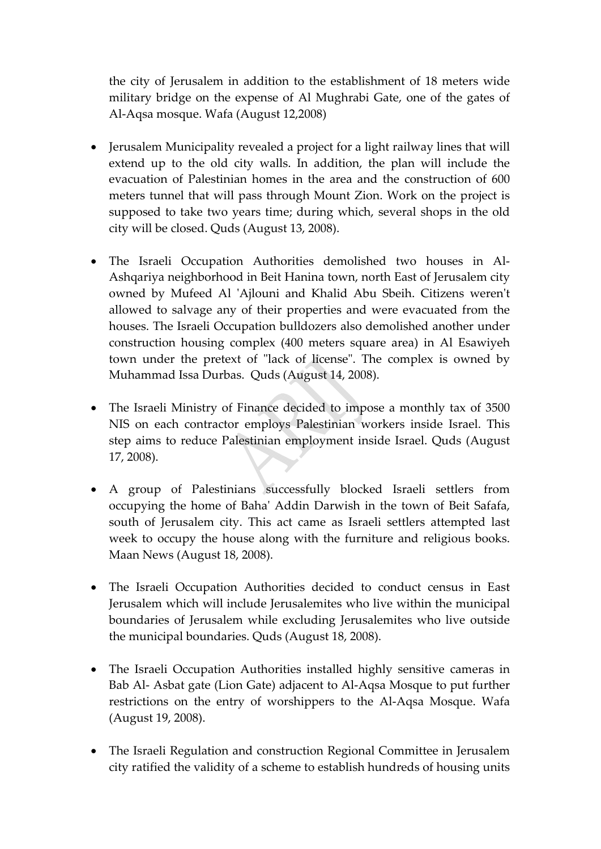the city of Jerusalem in addition to the establishment of 18 meters wide military bridge on the expense of Al Mughrabi Gate, one of the gates of Al‐Aqsa mosque. Wafa (August 12,2008)

- Jerusalem Municipality revealed a project for a light railway lines that will extend up to the old city walls. In addition, the plan will include the evacuation of Palestinian homes in the area and the construction of 600 meters tunnel that will pass through Mount Zion. Work on the project is supposed to take two years time; during which, several shops in the old city will be closed. Quds (August 13, 2008).
- The Israeli Occupation Authorities demolished two houses in Al‐ Ashqariya neighborhood in Beit Hanina town, north East of Jerusalem city owned by Mufeed Al 'Ajlouni and Khalid Abu Sbeih. Citizens weren't allowed to salvage any of their properties and were evacuated from the houses. The Israeli Occupation bulldozers also demolished another under construction housing complex (400 meters square area) in Al Esawiyeh town under the pretext of "lack of license". The complex is owned by Muhammad Issa Durbas. Quds (August 14, 2008).
- The Israeli Ministry of Finance decided to impose a monthly tax of 3500 NIS on each contractor employs Palestinian workers inside Israel. This step aims to reduce Palestinian employment inside Israel. Quds (August 17, 2008).
- A group of Palestinians successfully blocked Israeli settlers from occupying the home of Bahaʹ Addin Darwish in the town of Beit Safafa, south of Jerusalem city. This act came as Israeli settlers attempted last week to occupy the house along with the furniture and religious books. Maan News (August 18, 2008).
- The Israeli Occupation Authorities decided to conduct census in East Jerusalem which will include Jerusalemites who live within the municipal boundaries of Jerusalem while excluding Jerusalemites who live outside the municipal boundaries. Quds (August 18, 2008).
- The Israeli Occupation Authorities installed highly sensitive cameras in Bab Al‐ Asbat gate (Lion Gate) adjacent to Al‐Aqsa Mosque to put further restrictions on the entry of worshippers to the Al‐Aqsa Mosque. Wafa (August 19, 2008).
- The Israeli Regulation and construction Regional Committee in Jerusalem city ratified the validity of a scheme to establish hundreds of housing units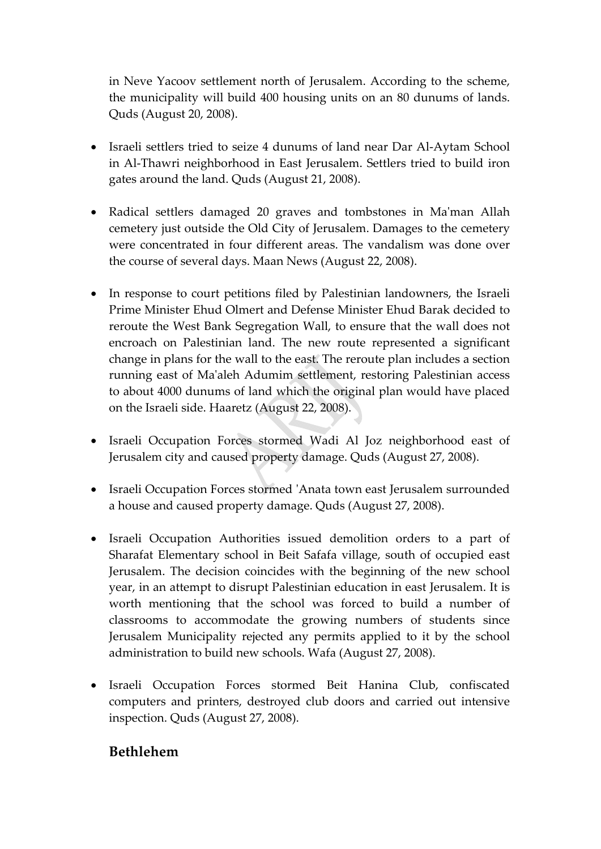in Neve Yacoov settlement north of Jerusalem. According to the scheme, the municipality will build 400 housing units on an 80 dunums of lands. Quds (August 20, 2008).

- Israeli settlers tried to seize 4 dunums of land near Dar Al‐Aytam School in Al‐Thawri neighborhood in East Jerusalem. Settlers tried to build iron gates around the land. Quds (August 21, 2008).
- Radical settlers damaged 20 graves and tombstones in Ma'man Allah cemetery just outside the Old City of Jerusalem. Damages to the cemetery were concentrated in four different areas. The vandalism was done over the course of several days. Maan News (August 22, 2008).
- In response to court petitions filed by Palestinian landowners, the Israeli Prime Minister Ehud Olmert and Defense Minister Ehud Barak decided to reroute the West Bank Segregation Wall, to ensure that the wall does not encroach on Palestinian land. The new route represented a significant change in plans for the wall to the east. The reroute plan includes a section running east of Maʹaleh Adumim settlement, restoring Palestinian access to about 4000 dunums of land which the original plan would have placed on the Israeli side. Haaretz (August 22, 2008).
- Israeli Occupation Forces stormed Wadi Al Joz neighborhood east of Jerusalem city and caused property damage. Quds (August 27, 2008).
- Israeli Occupation Forces stormed ʹAnata town east Jerusalem surrounded a house and caused property damage. Quds (August 27, 2008).
- Israeli Occupation Authorities issued demolition orders to a part of Sharafat Elementary school in Beit Safafa village, south of occupied east Jerusalem. The decision coincides with the beginning of the new school year, in an attempt to disrupt Palestinian education in east Jerusalem. It is worth mentioning that the school was forced to build a number of classrooms to accommodate the growing numbers of students since Jerusalem Municipality rejected any permits applied to it by the school administration to build new schools. Wafa (August 27, 2008).
- Israeli Occupation Forces stormed Beit Hanina Club, confiscated computers and printers, destroyed club doors and carried out intensive inspection. Quds (August 27, 2008).

### **Bethlehem**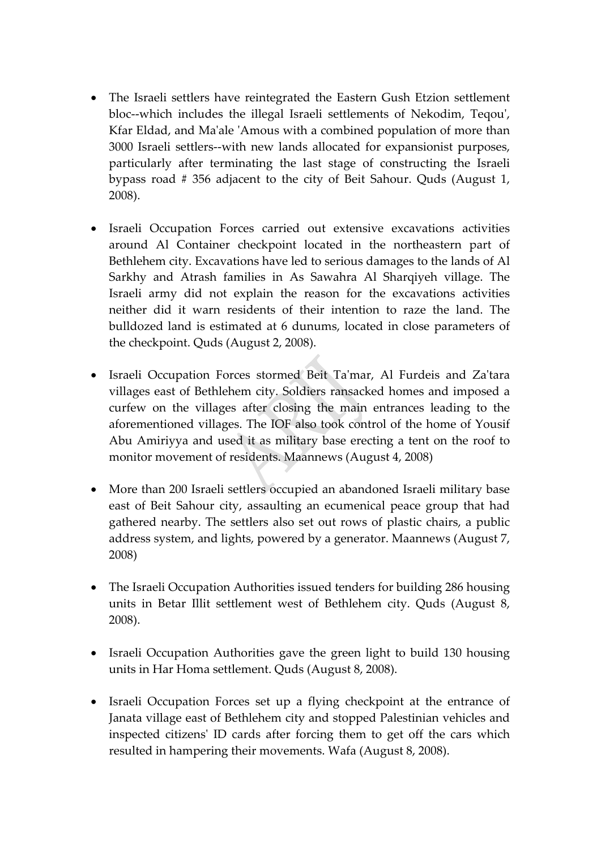- The Israeli settlers have reintegrated the Eastern Gush Etzion settlement bloc--which includes the illegal Israeli settlements of Nekodim, Teqou', Kfar Eldad, and Maʹale ʹAmous with a combined population of more than 3000 Israeli settlers‐‐with new lands allocated for expansionist purposes, particularly after terminating the last stage of constructing the Israeli bypass road # 356 adjacent to the city of Beit Sahour. Quds (August 1, 2008).
- Israeli Occupation Forces carried out extensive excavations activities around Al Container checkpoint located in the northeastern part of Bethlehem city. Excavations have led to serious damages to the lands of Al Sarkhy and Atrash families in As Sawahra Al Sharqiyeh village. The Israeli army did not explain the reason for the excavations activities neither did it warn residents of their intention to raze the land. The bulldozed land is estimated at 6 dunums, located in close parameters of the checkpoint. Quds (August 2, 2008).
- Israeli Occupation Forces stormed Beit Ta'mar, Al Furdeis and Za'tara villages east of Bethlehem city. Soldiers ransacked homes and imposed a curfew on the villages after closing the main entrances leading to the aforementioned villages. The IOF also took control of the home of Yousif Abu Amiriyya and used it as military base erecting a tent on the roof to monitor movement of residents. Maannews (August 4, 2008)
- More than 200 Israeli settlers occupied an abandoned Israeli military base east of Beit Sahour city, assaulting an ecumenical peace group that had gathered nearby. The settlers also set out rows of plastic chairs, a public address system, and lights, powered by a generator. Maannews (August 7, 2008)
- The Israeli Occupation Authorities issued tenders for building 286 housing units in Betar Illit settlement west of Bethlehem city. Quds (August 8, 2008).
- Israeli Occupation Authorities gave the green light to build 130 housing units in Har Homa settlement. Quds (August 8, 2008).
- Israeli Occupation Forces set up a flying checkpoint at the entrance of Janata village east of Bethlehem city and stopped Palestinian vehicles and inspected citizensʹ ID cards after forcing them to get off the cars which resulted in hampering their movements. Wafa (August 8, 2008).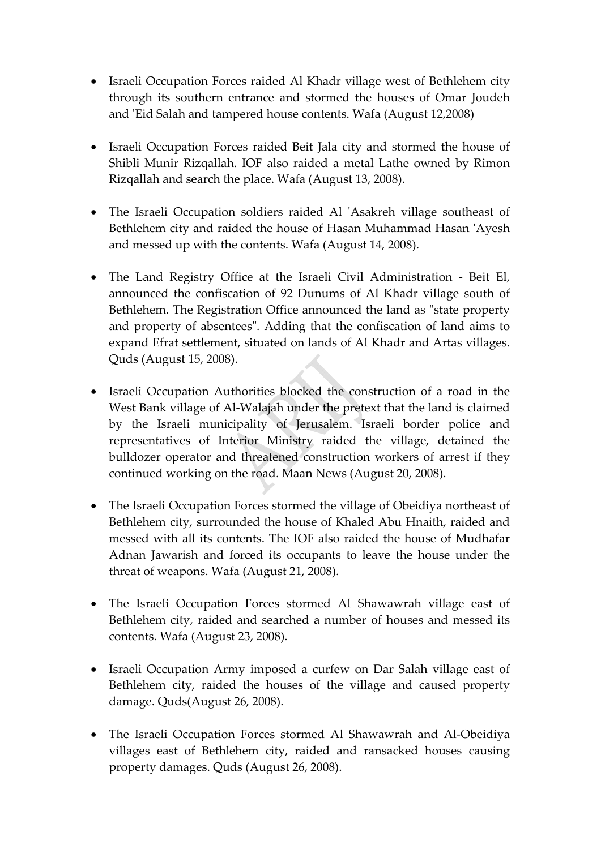- Israeli Occupation Forces raided Al Khadr village west of Bethlehem city through its southern entrance and stormed the houses of Omar Joudeh and 'Eid Salah and tampered house contents. Wafa (August 12,2008)
- Israeli Occupation Forces raided Beit Jala city and stormed the house of Shibli Munir Rizqallah. IOF also raided a metal Lathe owned by Rimon Rizqallah and search the place. Wafa (August 13, 2008).
- The Israeli Occupation soldiers raided Al 'Asakreh village southeast of Bethlehem city and raided the house of Hasan Muhammad Hasan ʹAyesh and messed up with the contents. Wafa (August 14, 2008).
- The Land Registry Office at the Israeli Civil Administration Beit El, announced the confiscation of 92 Dunums of Al Khadr village south of Bethlehem. The Registration Office announced the land as "state property and property of absentees". Adding that the confiscation of land aims to expand Efrat settlement, situated on lands of Al Khadr and Artas villages. Quds (August 15, 2008).
- Israeli Occupation Authorities blocked the construction of a road in the West Bank village of Al-Walajah under the pretext that the land is claimed by the Israeli municipality of Jerusalem. Israeli border police and representatives of Interior Ministry raided the village, detained the bulldozer operator and threatened construction workers of arrest if they continued working on the road. Maan News (August 20, 2008).
- The Israeli Occupation Forces stormed the village of Obeidiya northeast of Bethlehem city, surrounded the house of Khaled Abu Hnaith, raided and messed with all its contents. The IOF also raided the house of Mudhafar Adnan Jawarish and forced its occupants to leave the house under the threat of weapons. Wafa (August 21, 2008).
- The Israeli Occupation Forces stormed Al Shawawrah village east of Bethlehem city, raided and searched a number of houses and messed its contents. Wafa (August 23, 2008).
- Israeli Occupation Army imposed a curfew on Dar Salah village east of Bethlehem city, raided the houses of the village and caused property damage. Quds(August 26, 2008).
- The Israeli Occupation Forces stormed Al Shawawrah and Al‐Obeidiya villages east of Bethlehem city, raided and ransacked houses causing property damages. Quds (August 26, 2008).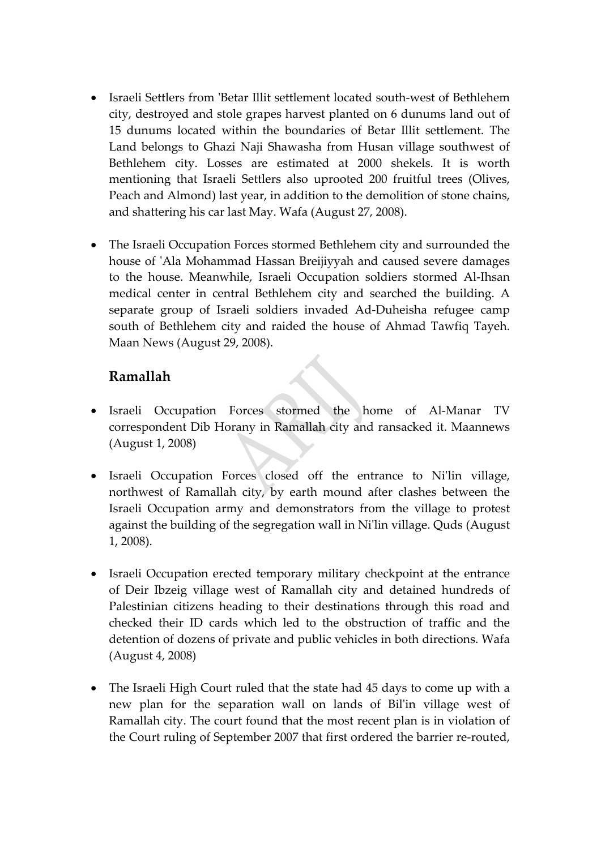- Israeli Settlers from 'Betar Illit settlement located south-west of Bethlehem city, destroyed and stole grapes harvest planted on 6 dunums land out of 15 dunums located within the boundaries of Betar Illit settlement. The Land belongs to Ghazi Naji Shawasha from Husan village southwest of Bethlehem city. Losses are estimated at 2000 shekels. It is worth mentioning that Israeli Settlers also uprooted 200 fruitful trees (Olives, Peach and Almond) last year, in addition to the demolition of stone chains, and shattering his car last May. Wafa (August 27, 2008).
- The Israeli Occupation Forces stormed Bethlehem city and surrounded the house of 'Ala Mohammad Hassan Breijiyyah and caused severe damages to the house. Meanwhile, Israeli Occupation soldiers stormed Al‐Ihsan medical center in central Bethlehem city and searched the building. A separate group of Israeli soldiers invaded Ad‐Duheisha refugee camp south of Bethlehem city and raided the house of Ahmad Tawfiq Tayeh. Maan News (August 29, 2008).

### **Ramallah**

- Israeli Occupation Forces stormed the home of Al‐Manar TV correspondent Dib Horany in Ramallah city and ransacked it. Maannews (August 1, 2008)
- Israeli Occupation Forces closed off the entrance to Ni'lin village, northwest of Ramallah city, by earth mound after clashes between the Israeli Occupation army and demonstrators from the village to protest against the building of the segregation wall in Niʹlin village. Quds (August 1, 2008).
- Israeli Occupation erected temporary military checkpoint at the entrance of Deir Ibzeig village west of Ramallah city and detained hundreds of Palestinian citizens heading to their destinations through this road and checked their ID cards which led to the obstruction of traffic and the detention of dozens of private and public vehicles in both directions. Wafa (August 4, 2008)
- The Israeli High Court ruled that the state had 45 days to come up with a new plan for the separation wall on lands of Bilʹin village west of Ramallah city. The court found that the most recent plan is in violation of the Court ruling of September 2007 that first ordered the barrier re‐routed,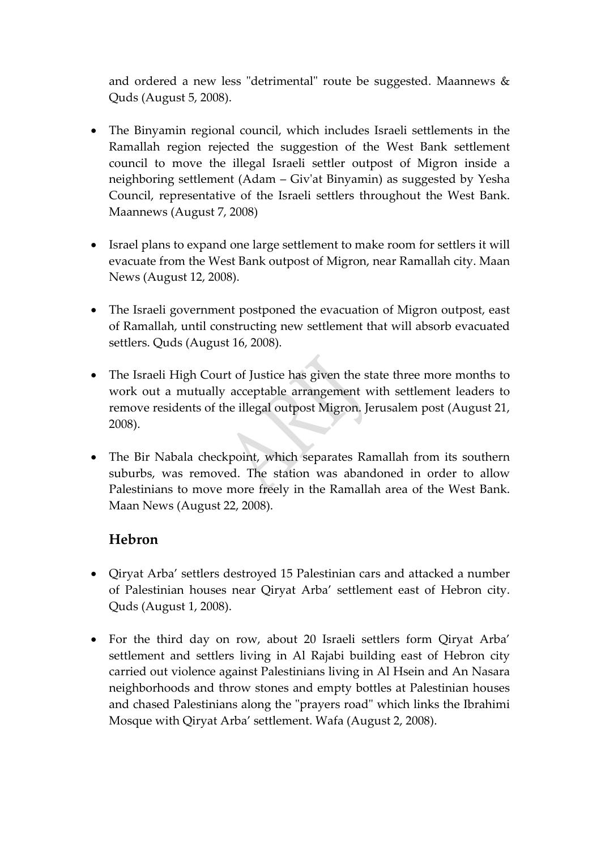and ordered a new less "detrimental" route be suggested. Maannews  $\&$ Quds (August 5, 2008).

- The Binyamin regional council, which includes Israeli settlements in the Ramallah region rejected the suggestion of the West Bank settlement council to move the illegal Israeli settler outpost of Migron inside a neighboring settlement (Adam – Givʹat Binyamin) as suggested by Yesha Council, representative of the Israeli settlers throughout the West Bank. Maannews (August 7, 2008)
- Israel plans to expand one large settlement to make room for settlers it will evacuate from the West Bank outpost of Migron, near Ramallah city. Maan News (August 12, 2008).
- The Israeli government postponed the evacuation of Migron outpost, east of Ramallah, until constructing new settlement that will absorb evacuated settlers. Quds (August 16, 2008).
- The Israeli High Court of Justice has given the state three more months to work out a mutually acceptable arrangement with settlement leaders to remove residents of the illegal outpost Migron. Jerusalem post (August 21, 2008).
- The Bir Nabala checkpoint, which separates Ramallah from its southern suburbs, was removed. The station was abandoned in order to allow Palestinians to move more freely in the Ramallah area of the West Bank. Maan News (August 22, 2008).

### **Hebron**

- Qiryat Arba' settlers destroyed 15 Palestinian cars and attacked a number of Palestinian houses near Qiryat Arba' settlement east of Hebron city. Quds (August 1, 2008).
- For the third day on row, about 20 Israeli settlers form Qiryat Arba' settlement and settlers living in Al Rajabi building east of Hebron city carried out violence against Palestinians living in Al Hsein and An Nasara neighborhoods and throw stones and empty bottles at Palestinian houses and chased Palestinians along the "prayers road" which links the Ibrahimi Mosque with Qiryat Arba' settlement. Wafa (August 2, 2008).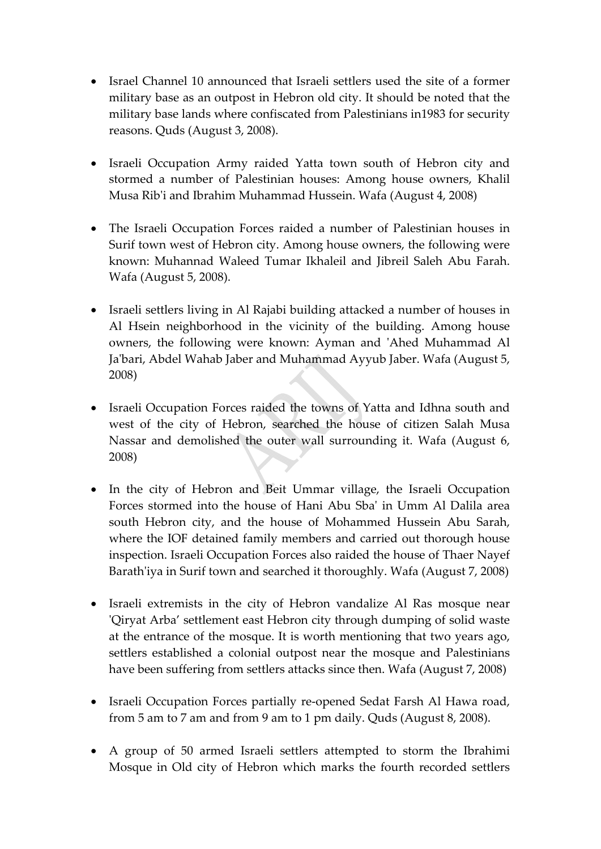- Israel Channel 10 announced that Israeli settlers used the site of a former military base as an outpost in Hebron old city. It should be noted that the military base lands where confiscated from Palestinians in1983 for security reasons. Quds (August 3, 2008).
- Israeli Occupation Army raided Yatta town south of Hebron city and stormed a number of Palestinian houses: Among house owners, Khalil Musa Ribʹi and Ibrahim Muhammad Hussein. Wafa (August 4, 2008)
- The Israeli Occupation Forces raided a number of Palestinian houses in Surif town west of Hebron city. Among house owners, the following were known: Muhannad Waleed Tumar Ikhaleil and Jibreil Saleh Abu Farah. Wafa (August 5, 2008).
- Israeli settlers living in Al Rajabi building attacked a number of houses in Al Hsein neighborhood in the vicinity of the building. Among house owners, the following were known: Ayman and 'Ahed Muhammad Al Ja'bari, Abdel Wahab Jaber and Muhammad Ayyub Jaber. Wafa (August 5, 2008)
- Israeli Occupation Forces raided the towns of Yatta and Idhna south and west of the city of Hebron, searched the house of citizen Salah Musa Nassar and demolished the outer wall surrounding it. Wafa (August 6, 2008)
- In the city of Hebron and Beit Ummar village, the Israeli Occupation Forces stormed into the house of Hani Abu Sbaʹ in Umm Al Dalila area south Hebron city, and the house of Mohammed Hussein Abu Sarah, where the IOF detained family members and carried out thorough house inspection. Israeli Occupation Forces also raided the house of Thaer Nayef Barath'iya in Surif town and searched it thoroughly. Wafa (August 7, 2008)
- Israeli extremists in the city of Hebron vandalize Al Ras mosque near ʹQiryat Arba' settlement east Hebron city through dumping of solid waste at the entrance of the mosque. It is worth mentioning that two years ago, settlers established a colonial outpost near the mosque and Palestinians have been suffering from settlers attacks since then. Wafa (August 7, 2008)
- Israeli Occupation Forces partially re-opened Sedat Farsh Al Hawa road, from 5 am to 7 am and from 9 am to 1 pm daily. Quds (August 8, 2008).
- A group of 50 armed Israeli settlers attempted to storm the Ibrahimi Mosque in Old city of Hebron which marks the fourth recorded settlers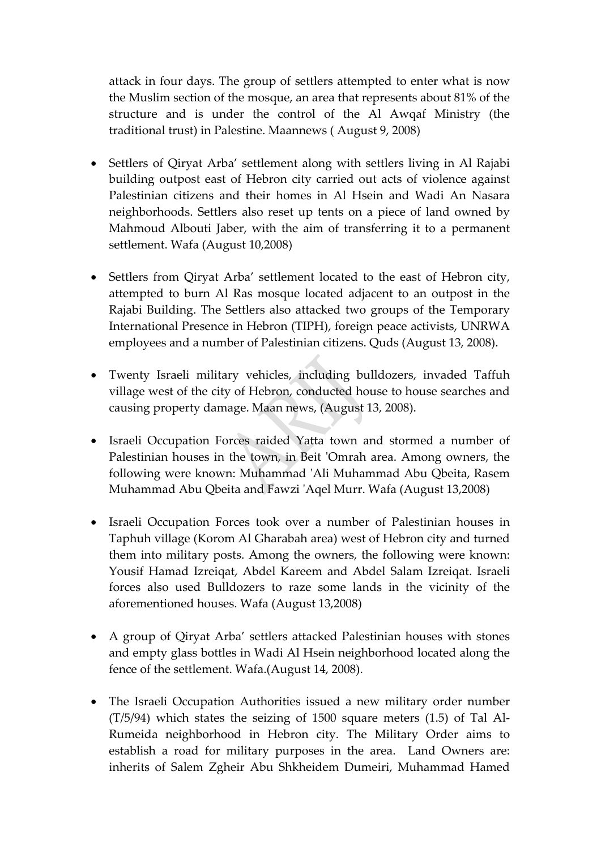attack in four days. The group of settlers attempted to enter what is now the Muslim section of the mosque, an area that represents about 81% of the structure and is under the control of the Al Awqaf Ministry (the traditional trust) in Palestine. Maannews ( August 9, 2008)

- Settlers of Qiryat Arba' settlement along with settlers living in Al Rajabi building outpost east of Hebron city carried out acts of violence against Palestinian citizens and their homes in Al Hsein and Wadi An Nasara neighborhoods. Settlers also reset up tents on a piece of land owned by Mahmoud Albouti Jaber, with the aim of transferring it to a permanent settlement. Wafa (August 10,2008)
- Settlers from Qiryat Arba' settlement located to the east of Hebron city, attempted to burn Al Ras mosque located adjacent to an outpost in the Rajabi Building. The Settlers also attacked two groups of the Temporary International Presence in Hebron (TIPH), foreign peace activists, UNRWA employees and a number of Palestinian citizens. Quds (August 13, 2008).
- Twenty Israeli military vehicles, including bulldozers, invaded Taffuh village west of the city of Hebron, conducted house to house searches and causing property damage. Maan news, (August 13, 2008).
- Israeli Occupation Forces raided Yatta town and stormed a number of Palestinian houses in the town, in Beit 'Omrah area. Among owners, the following were known: Muhammad ʹAli Muhammad Abu Qbeita, Rasem Muhammad Abu Qbeita and Fawzi ʹAqel Murr. Wafa (August 13,2008)
- Israeli Occupation Forces took over a number of Palestinian houses in Taphuh village (Korom Al Gharabah area) west of Hebron city and turned them into military posts. Among the owners, the following were known: Yousif Hamad Izreiqat, Abdel Kareem and Abdel Salam Izreiqat. Israeli forces also used Bulldozers to raze some lands in the vicinity of the aforementioned houses. Wafa (August 13,2008)
- A group of Qiryat Arba' settlers attacked Palestinian houses with stones and empty glass bottles in Wadi Al Hsein neighborhood located along the fence of the settlement. Wafa.(August 14, 2008).
- The Israeli Occupation Authorities issued a new military order number (T/5/94) which states the seizing of 1500 square meters (1.5) of Tal Al‐ Rumeida neighborhood in Hebron city. The Military Order aims to establish a road for military purposes in the area. Land Owners are: inherits of Salem Zgheir Abu Shkheidem Dumeiri, Muhammad Hamed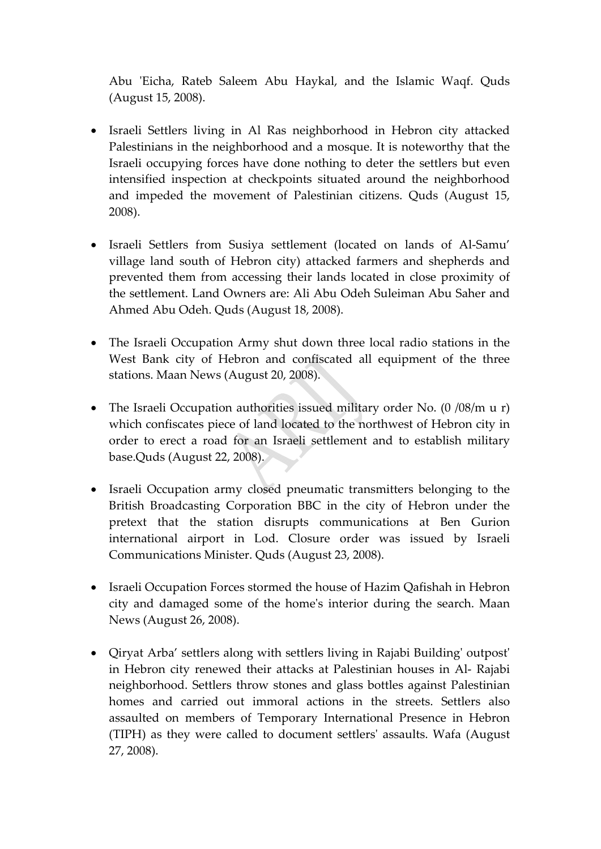Abu 'Eicha, Rateb Saleem Abu Haykal, and the Islamic Waqf. Quds (August 15, 2008).

- Israeli Settlers living in Al Ras neighborhood in Hebron city attacked Palestinians in the neighborhood and a mosque. It is noteworthy that the Israeli occupying forces have done nothing to deter the settlers but even intensified inspection at checkpoints situated around the neighborhood and impeded the movement of Palestinian citizens. Quds (August 15, 2008).
- Israeli Settlers from Susiya settlement (located on lands of Al‐Samu' village land south of Hebron city) attacked farmers and shepherds and prevented them from accessing their lands located in close proximity of the settlement. Land Owners are: Ali Abu Odeh Suleiman Abu Saher and Ahmed Abu Odeh. Quds (August 18, 2008).
- The Israeli Occupation Army shut down three local radio stations in the West Bank city of Hebron and confiscated all equipment of the three stations. Maan News (August 20, 2008).
- The Israeli Occupation authorities issued military order No. (0 /08/m u r) which confiscates piece of land located to the northwest of Hebron city in order to erect a road for an Israeli settlement and to establish military base.Quds (August 22, 2008).
- Israeli Occupation army closed pneumatic transmitters belonging to the British Broadcasting Corporation BBC in the city of Hebron under the pretext that the station disrupts communications at Ben Gurion international airport in Lod. Closure order was issued by Israeli Communications Minister. Quds (August 23, 2008).
- Israeli Occupation Forces stormed the house of Hazim Qafishah in Hebron city and damaged some of the homeʹs interior during the search. Maan News (August 26, 2008).
- Qiryat Arba' settlers along with settlers living in Rajabi Building' outpost' in Hebron city renewed their attacks at Palestinian houses in Al‐ Rajabi neighborhood. Settlers throw stones and glass bottles against Palestinian homes and carried out immoral actions in the streets. Settlers also assaulted on members of Temporary International Presence in Hebron (TIPH) as they were called to document settlersʹ assaults. Wafa (August 27, 2008).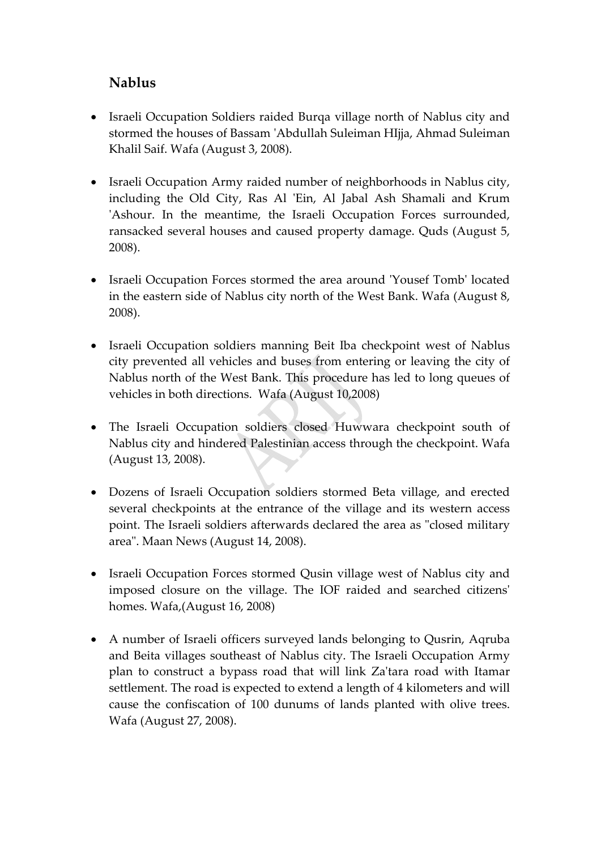### **Nablus**

- Israeli Occupation Soldiers raided Burqa village north of Nablus city and stormed the houses of Bassam ʹAbdullah Suleiman HIjja, Ahmad Suleiman Khalil Saif. Wafa (August 3, 2008).
- Israeli Occupation Army raided number of neighborhoods in Nablus city, including the Old City, Ras Al 'Ein, Al Jabal Ash Shamali and Krum ʹAshour. In the meantime, the Israeli Occupation Forces surrounded, ransacked several houses and caused property damage. Quds (August 5, 2008).
- Israeli Occupation Forces stormed the area around 'Yousef Tomb' located in the eastern side of Nablus city north of the West Bank. Wafa (August 8, 2008).
- Israeli Occupation soldiers manning Beit Iba checkpoint west of Nablus city prevented all vehicles and buses from entering or leaving the city of Nablus north of the West Bank. This procedure has led to long queues of vehicles in both directions. Wafa (August 10,2008)
- The Israeli Occupation soldiers closed Huwwara checkpoint south of Nablus city and hindered Palestinian access through the checkpoint. Wafa (August 13, 2008).
- Dozens of Israeli Occupation soldiers stormed Beta village, and erected several checkpoints at the entrance of the village and its western access point. The Israeli soldiers afterwards declared the area as "closed military area". Maan News (August 14, 2008).
- Israeli Occupation Forces stormed Qusin village west of Nablus city and imposed closure on the village. The IOF raided and searched citizensʹ homes. Wafa,(August 16, 2008)
- A number of Israeli officers surveyed lands belonging to Qusrin, Aqruba and Beita villages southeast of Nablus city. The Israeli Occupation Army plan to construct a bypass road that will link Zaʹtara road with Itamar settlement. The road is expected to extend a length of 4 kilometers and will cause the confiscation of 100 dunums of lands planted with olive trees. Wafa (August 27, 2008).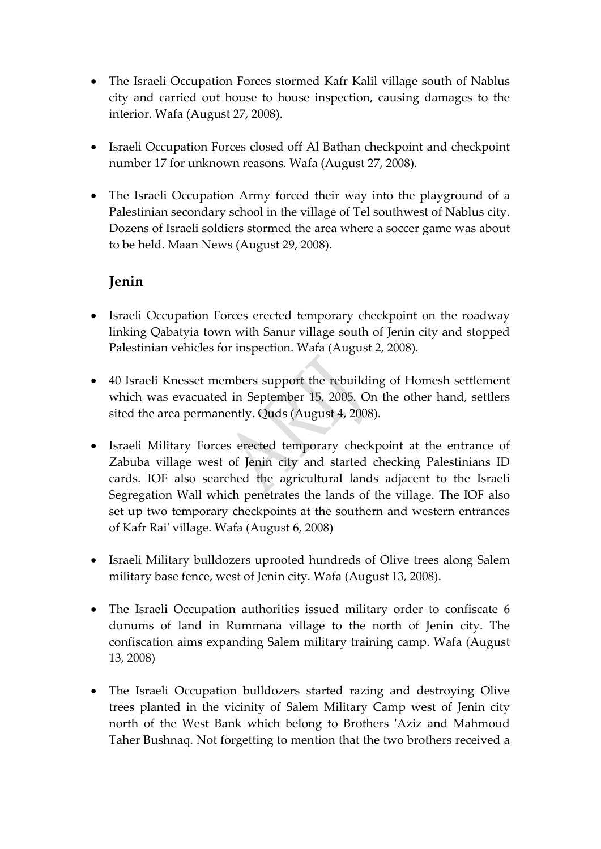- The Israeli Occupation Forces stormed Kafr Kalil village south of Nablus city and carried out house to house inspection, causing damages to the interior. Wafa (August 27, 2008).
- Israeli Occupation Forces closed off Al Bathan checkpoint and checkpoint number 17 for unknown reasons. Wafa (August 27, 2008).
- The Israeli Occupation Army forced their way into the playground of a Palestinian secondary school in the village of Tel southwest of Nablus city. Dozens of Israeli soldiers stormed the area where a soccer game was about to be held. Maan News (August 29, 2008).

# **Jenin**

- Israeli Occupation Forces erected temporary checkpoint on the roadway linking Qabatyia town with Sanur village south of Jenin city and stopped Palestinian vehicles for inspection. Wafa (August 2, 2008).
- 40 Israeli Knesset members support the rebuilding of Homesh settlement which was evacuated in September 15, 2005. On the other hand, settlers sited the area permanently. Quds (August 4, 2008).
- Israeli Military Forces erected temporary checkpoint at the entrance of Zabuba village west of Jenin city and started checking Palestinians ID cards. IOF also searched the agricultural lands adjacent to the Israeli Segregation Wall which penetrates the lands of the village. The IOF also set up two temporary checkpoints at the southern and western entrances of Kafr Raiʹ village. Wafa (August 6, 2008)
- Israeli Military bulldozers uprooted hundreds of Olive trees along Salem military base fence, west of Jenin city. Wafa (August 13, 2008).
- The Israeli Occupation authorities issued military order to confiscate 6 dunums of land in Rummana village to the north of Jenin city. The confiscation aims expanding Salem military training camp. Wafa (August 13, 2008)
- The Israeli Occupation bulldozers started razing and destroying Olive trees planted in the vicinity of Salem Military Camp west of Jenin city north of the West Bank which belong to Brothers 'Aziz and Mahmoud Taher Bushnaq. Not forgetting to mention that the two brothers received a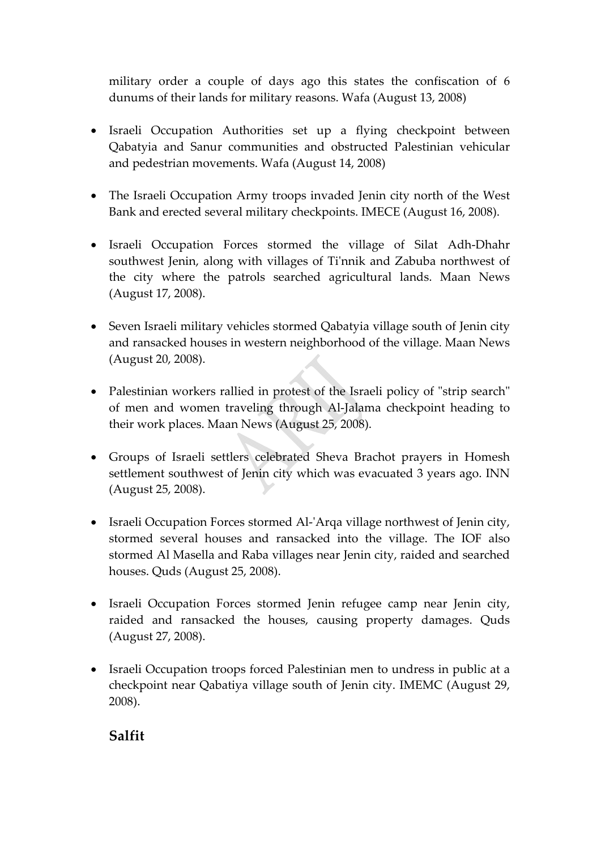military order a couple of days ago this states the confiscation of 6 dunums of their lands for military reasons. Wafa (August 13, 2008)

- Israeli Occupation Authorities set up a flying checkpoint between Qabatyia and Sanur communities and obstructed Palestinian vehicular and pedestrian movements. Wafa (August 14, 2008)
- The Israeli Occupation Army troops invaded Jenin city north of the West Bank and erected several military checkpoints. IMECE (August 16, 2008).
- Israeli Occupation Forces stormed the village of Silat Adh‐Dhahr southwest Jenin, along with villages of Ti'nnik and Zabuba northwest of the city where the patrols searched agricultural lands. Maan News (August 17, 2008).
- Seven Israeli military vehicles stormed Qabatyia village south of Jenin city and ransacked houses in western neighborhood of the village. Maan News (August 20, 2008).
- Palestinian workers rallied in protest of the Israeli policy of "strip search" of men and women traveling through Al‐Jalama checkpoint heading to their work places. Maan News (August 25, 2008).
- Groups of Israeli settlers celebrated Sheva Brachot prayers in Homesh settlement southwest of Jenin city which was evacuated 3 years ago. INN (August 25, 2008).
- Israeli Occupation Forces stormed Al-'Arqa village northwest of Jenin city, stormed several houses and ransacked into the village. The IOF also stormed Al Masella and Raba villages near Jenin city, raided and searched houses. Quds (August 25, 2008).
- Israeli Occupation Forces stormed Jenin refugee camp near Jenin city, raided and ransacked the houses, causing property damages. Quds (August 27, 2008).
- Israeli Occupation troops forced Palestinian men to undress in public at a checkpoint near Qabatiya village south of Jenin city. IMEMC (August 29, 2008).

**Salfit**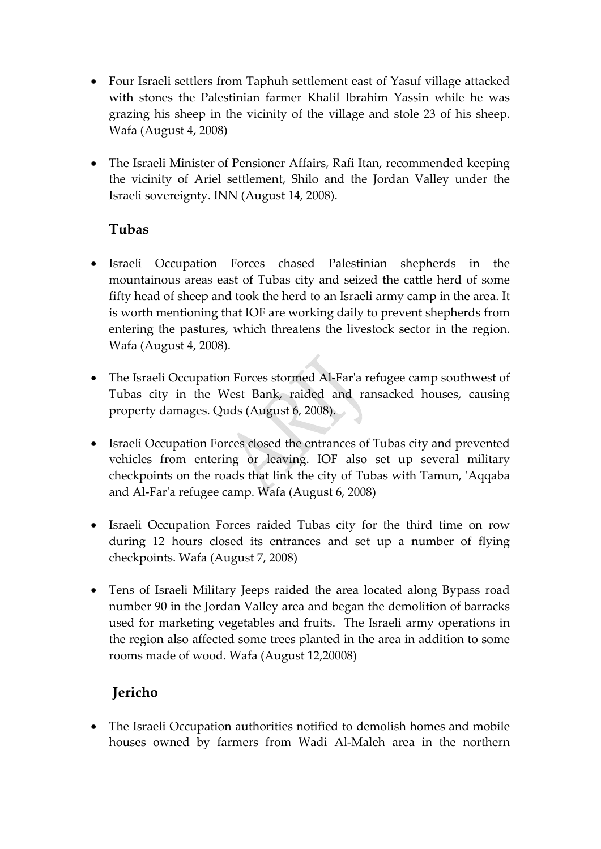- Four Israeli settlers from Taphuh settlement east of Yasuf village attacked with stones the Palestinian farmer Khalil Ibrahim Yassin while he was grazing his sheep in the vicinity of the village and stole 23 of his sheep. Wafa (August 4, 2008)
- The Israeli Minister of Pensioner Affairs, Rafi Itan, recommended keeping the vicinity of Ariel settlement, Shilo and the Jordan Valley under the Israeli sovereignty. INN (August 14, 2008).

# **Tubas**

- Israeli Occupation Forces chased Palestinian shepherds in the mountainous areas east of Tubas city and seized the cattle herd of some fifty head of sheep and took the herd to an Israeli army camp in the area. It is worth mentioning that IOF are working daily to prevent shepherds from entering the pastures, which threatens the livestock sector in the region. Wafa (August 4, 2008).
- The Israeli Occupation Forces stormed Al-Far'a refugee camp southwest of Tubas city in the West Bank, raided and ransacked houses, causing property damages. Quds (August 6, 2008).
- Israeli Occupation Forces closed the entrances of Tubas city and prevented vehicles from entering or leaving. IOF also set up several military checkpoints on the roads that link the city of Tubas with Tamun, ʹAqqaba and Al‐Farʹa refugee camp. Wafa (August 6, 2008)
- Israeli Occupation Forces raided Tubas city for the third time on row during 12 hours closed its entrances and set up a number of flying checkpoints. Wafa (August 7, 2008)
- Tens of Israeli Military Jeeps raided the area located along Bypass road number 90 in the Jordan Valley area and began the demolition of barracks used for marketing vegetables and fruits. The Israeli army operations in the region also affected some trees planted in the area in addition to some rooms made of wood. Wafa (August 12,20008)

# **Jericho**

• The Israeli Occupation authorities notified to demolish homes and mobile houses owned by farmers from Wadi Al‐Maleh area in the northern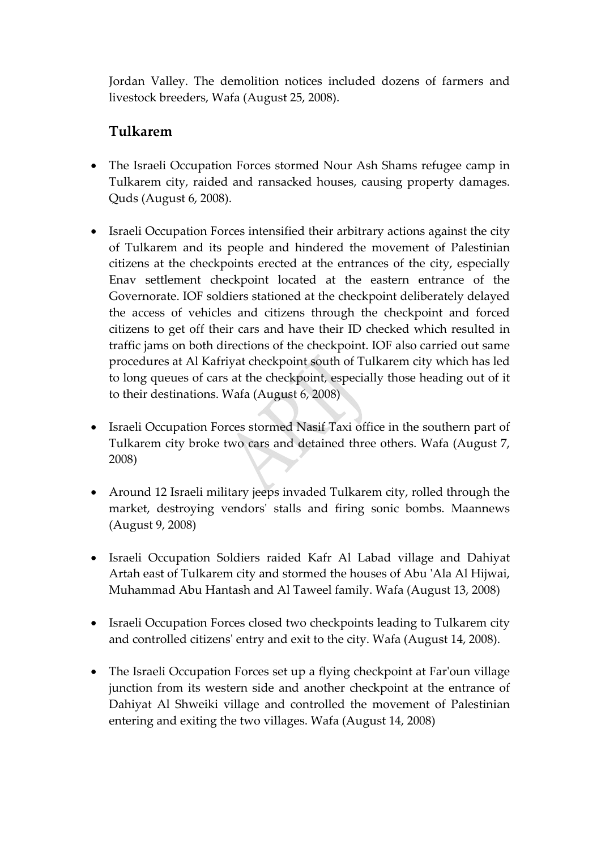Jordan Valley. The demolition notices included dozens of farmers and livestock breeders, Wafa (August 25, 2008).

### **Tulkarem**

- The Israeli Occupation Forces stormed Nour Ash Shams refugee camp in Tulkarem city, raided and ransacked houses, causing property damages. Quds (August 6, 2008).
- Israeli Occupation Forces intensified their arbitrary actions against the city of Tulkarem and its people and hindered the movement of Palestinian citizens at the checkpoints erected at the entrances of the city, especially Enav settlement checkpoint located at the eastern entrance of the Governorate. IOF soldiers stationed at the checkpoint deliberately delayed the access of vehicles and citizens through the checkpoint and forced citizens to get off their cars and have their ID checked which resulted in traffic jams on both directions of the checkpoint. IOF also carried out same procedures at Al Kafriyat checkpoint south of Tulkarem city which has led to long queues of cars at the checkpoint, especially those heading out of it to their destinations. Wafa (August 6, 2008)
- Israeli Occupation Forces stormed Nasif Taxi office in the southern part of Tulkarem city broke two cars and detained three others. Wafa (August 7, 2008)
- Around 12 Israeli military jeeps invaded Tulkarem city, rolled through the market, destroying vendorsʹ stalls and firing sonic bombs. Maannews (August 9, 2008)
- Israeli Occupation Soldiers raided Kafr Al Labad village and Dahiyat Artah east of Tulkarem city and stormed the houses of Abu ʹAla Al Hijwai, Muhammad Abu Hantash and Al Taweel family. Wafa (August 13, 2008)
- Israeli Occupation Forces closed two checkpoints leading to Tulkarem city and controlled citizensʹ entry and exit to the city. Wafa (August 14, 2008).
- The Israeli Occupation Forces set up a flying checkpoint at Far'oun village junction from its western side and another checkpoint at the entrance of Dahiyat Al Shweiki village and controlled the movement of Palestinian entering and exiting the two villages. Wafa (August 14, 2008)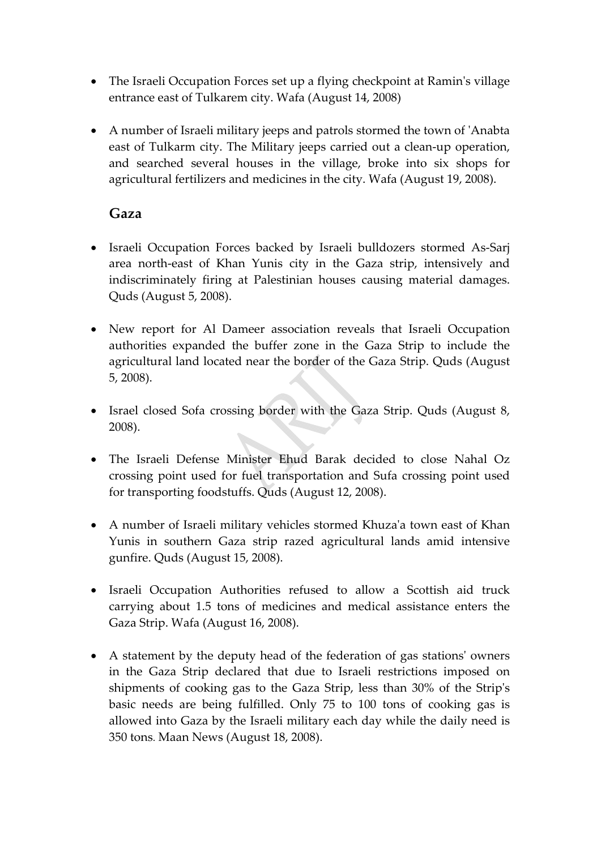- The Israeli Occupation Forces set up a flying checkpoint at Ramin's village entrance east of Tulkarem city. Wafa (August 14, 2008)
- A number of Israeli military jeeps and patrols stormed the town of ʹAnabta east of Tulkarm city. The Military jeeps carried out a clean‐up operation, and searched several houses in the village, broke into six shops for agricultural fertilizers and medicines in the city. Wafa (August 19, 2008).

#### **Gaza**

- Israeli Occupation Forces backed by Israeli bulldozers stormed As‐Sarj area north‐east of Khan Yunis city in the Gaza strip, intensively and indiscriminately firing at Palestinian houses causing material damages. Quds (August 5, 2008).
- New report for Al Dameer association reveals that Israeli Occupation authorities expanded the buffer zone in the Gaza Strip to include the agricultural land located near the border of the Gaza Strip. Quds (August 5, 2008).
- Israel closed Sofa crossing border with the Gaza Strip. Quds (August 8, 2008).
- The Israeli Defense Minister Ehud Barak decided to close Nahal Oz crossing point used for fuel transportation and Sufa crossing point used for transporting foodstuffs. Quds (August 12, 2008).
- A number of Israeli military vehicles stormed Khuza'a town east of Khan Yunis in southern Gaza strip razed agricultural lands amid intensive gunfire. Quds (August 15, 2008).
- Israeli Occupation Authorities refused to allow a Scottish aid truck carrying about 1.5 tons of medicines and medical assistance enters the Gaza Strip. Wafa (August 16, 2008).
- A statement by the deputy head of the federation of gas stations' owners in the Gaza Strip declared that due to Israeli restrictions imposed on shipments of cooking gas to the Gaza Strip, less than 30% of the Stripʹs basic needs are being fulfilled. Only 75 to 100 tons of cooking gas is allowed into Gaza by the Israeli military each day while the daily need is 350 tons. Maan News (August 18, 2008).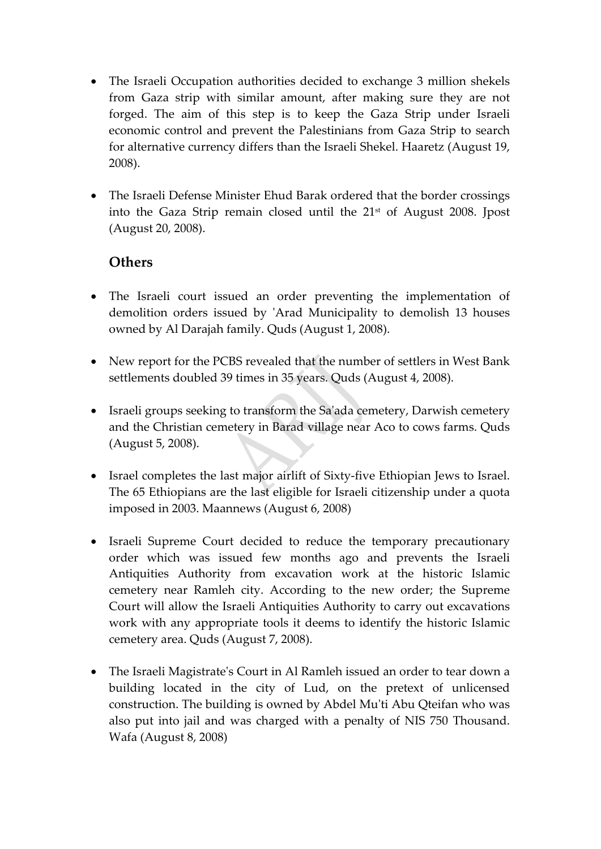- The Israeli Occupation authorities decided to exchange 3 million shekels from Gaza strip with similar amount, after making sure they are not forged. The aim of this step is to keep the Gaza Strip under Israeli economic control and prevent the Palestinians from Gaza Strip to search for alternative currency differs than the Israeli Shekel. Haaretz (August 19, 2008).
- The Israeli Defense Minister Ehud Barak ordered that the border crossings into the Gaza Strip remain closed until the 21<sup>st</sup> of August 2008. Jpost (August 20, 2008).

# **Others**

- The Israeli court issued an order preventing the implementation of demolition orders issued by 'Arad Municipality to demolish 13 houses owned by Al Darajah family. Quds (August 1, 2008).
- New report for the PCBS revealed that the number of settlers in West Bank settlements doubled 39 times in 35 years. Quds (August 4, 2008).
- Israeli groups seeking to transform the Sa'ada cemetery, Darwish cemetery and the Christian cemetery in Barad village near Aco to cows farms. Quds (August 5, 2008).
- Israel completes the last major airlift of Sixty‐five Ethiopian Jews to Israel. The 65 Ethiopians are the last eligible for Israeli citizenship under a quota imposed in 2003. Maannews (August 6, 2008)
- Israeli Supreme Court decided to reduce the temporary precautionary order which was issued few months ago and prevents the Israeli Antiquities Authority from excavation work at the historic Islamic cemetery near Ramleh city. According to the new order; the Supreme Court will allow the Israeli Antiquities Authority to carry out excavations work with any appropriate tools it deems to identify the historic Islamic cemetery area. Quds (August 7, 2008).
- The Israeli Magistrate's Court in Al Ramleh issued an order to tear down a building located in the city of Lud, on the pretext of unlicensed construction. The building is owned by Abdel Muʹti Abu Qteifan who was also put into jail and was charged with a penalty of NIS 750 Thousand. Wafa (August 8, 2008)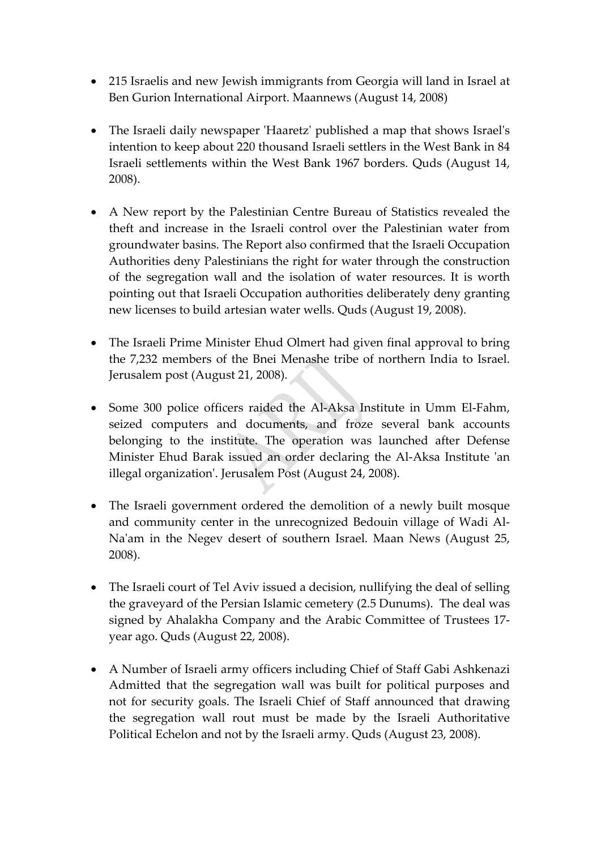- 215 Israelis and new Jewish immigrants from Georgia will land in Israel at Ben Gurion International Airport. Maannews (August 14, 2008)
- The Israeli daily newspaper 'Haaretz' published a map that shows Israel's intention to keep about 220 thousand Israeli settlers in the West Bank in 84 Israeli settlements within the West Bank 1967 borders. Quds (August 14, 2008).
- A New report by the Palestinian Centre Bureau of Statistics revealed the theft and increase in the Israeli control over the Palestinian water from groundwater basins. The Report also confirmed that the Israeli Occupation Authorities deny Palestinians the right for water through the construction of the segregation wall and the isolation of water resources. It is worth pointing out that Israeli Occupation authorities deliberately deny granting new licenses to build artesian water wells. Quds (August 19, 2008).
- The Israeli Prime Minister Ehud Olmert had given final approval to bring the 7,232 members of the Bnei Menashe tribe of northern India to Israel. Jerusalem post (August 21, 2008).
- Some 300 police officers raided the Al‐Aksa Institute in Umm El‐Fahm, seized computers and documents, and froze several bank accounts belonging to the institute. The operation was launched after Defense Minister Ehud Barak issued an order declaring the Al-Aksa Institute 'an illegal organizationʹ. Jerusalem Post (August 24, 2008).
- The Israeli government ordered the demolition of a newly built mosque and community center in the unrecognized Bedouin village of Wadi Al‐ Naʹam in the Negev desert of southern Israel. Maan News (August 25, 2008).
- The Israeli court of Tel Aviv issued a decision, nullifying the deal of selling the graveyard of the Persian Islamic cemetery (2.5 Dunums). The deal was signed by Ahalakha Company and the Arabic Committee of Trustees 17‐ year ago. Quds (August 22, 2008).
- A Number of Israeli army officers including Chief of Staff Gabi Ashkenazi Admitted that the segregation wall was built for political purposes and not for security goals. The Israeli Chief of Staff announced that drawing the segregation wall rout must be made by the Israeli Authoritative Political Echelon and not by the Israeli army. Quds (August 23, 2008).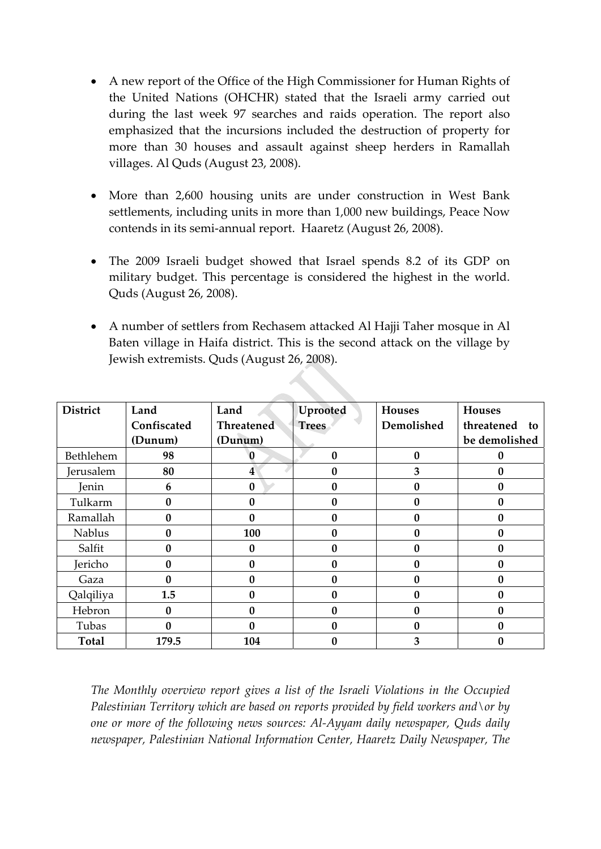- A new report of the Office of the High Commissioner for Human Rights of the United Nations (OHCHR) stated that the Israeli army carried out during the last week 97 searches and raids operation. The report also emphasized that the incursions included the destruction of property for more than 30 houses and assault against sheep herders in Ramallah villages. Al Quds (August 23, 2008).
- More than 2,600 housing units are under construction in West Bank settlements, including units in more than 1,000 new buildings, Peace Now contends in its semi‐annual report. Haaretz (August 26, 2008).
- The 2009 Israeli budget showed that Israel spends 8.2 of its GDP on military budget. This percentage is considered the highest in the world. Quds (August 26, 2008).
- A number of settlers from Rechasem attacked Al Hajji Taher mosque in Al Baten village in Haifa district. This is the second attack on the village by Jewish extremists. Quds (August 26, 2008).

| <b>District</b> | Land        | Land       | Uprooted     | <b>Houses</b> | <b>Houses</b>    |
|-----------------|-------------|------------|--------------|---------------|------------------|
|                 | Confiscated | Threatened | <b>Trees</b> | Demolished    | threatened<br>to |
|                 | (Dunum)     | (Dunum)    |              |               | be demolished    |
| Bethlehem       | 98          | 0          | $\bf{0}$     | $\mathbf{0}$  | 0                |
| Jerusalem       | 80          | 4          | 0            | 3             | 0                |
| Jenin           | 6           | $\bf{0}$   | $\bf{0}$     | 0             | 0                |
| Tulkarm         | 0           | 0          | $\mathbf{0}$ | $\Omega$      | 0                |
| Ramallah        | N           | 0          | 0            | 0             | 0                |
| <b>Nablus</b>   | 0           | 100        | $\mathbf{0}$ | $\mathbf{0}$  | 0                |
| Salfit          | O           | 0          | $\mathbf{0}$ | $\mathbf{0}$  | 0                |
| Jericho         |             | 0          | 0            | 0             | 0                |
| Gaza            | 0           | 0          | $\mathbf{0}$ | $\mathbf{0}$  | 0                |
| Qalqiliya       | 1.5         | 0          | $\bf{0}$     | $\mathbf{0}$  | 0                |
| Hebron          | 0           | 0          | $\mathbf{0}$ | 0             | 0                |
| Tubas           | 0           | 0          | $\bf{0}$     | $\mathbf{0}$  | 0                |
| <b>Total</b>    | 179.5       | 104        | 0            | 3             | 0                |

*The Monthly overview report gives a list of the Israeli Violations in the Occupied Palestinian Territory which are based on reports provided by field workers and\or by one or more of the following news sources: Al‐Ayyam daily newspaper, Quds daily newspaper, Palestinian National Information Center, Haaretz Daily Newspaper, The*